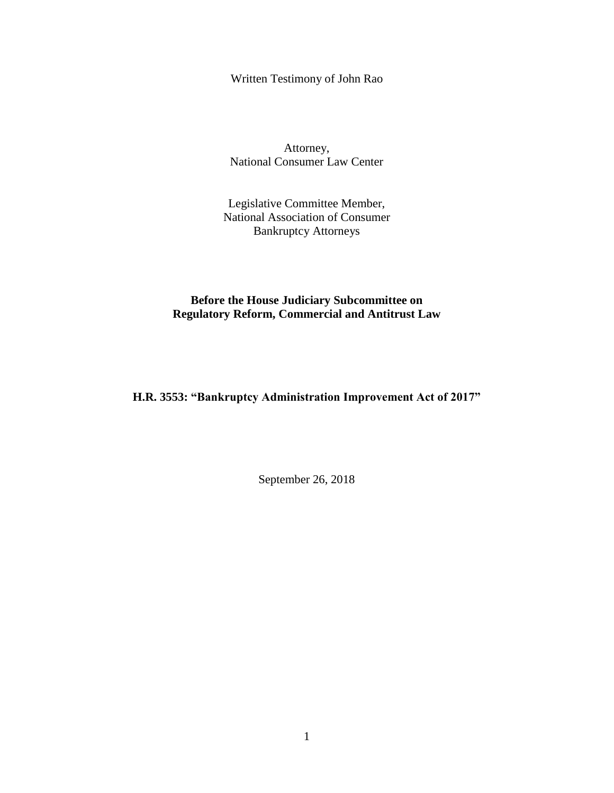Written Testimony of John Rao

Attorney, National Consumer Law Center

Legislative Committee Member, National Association of Consumer Bankruptcy Attorneys

**Before the House Judiciary Subcommittee on Regulatory Reform, Commercial and Antitrust Law**

**H.R. 3553: "Bankruptcy Administration Improvement Act of 2017"**

September 26, 2018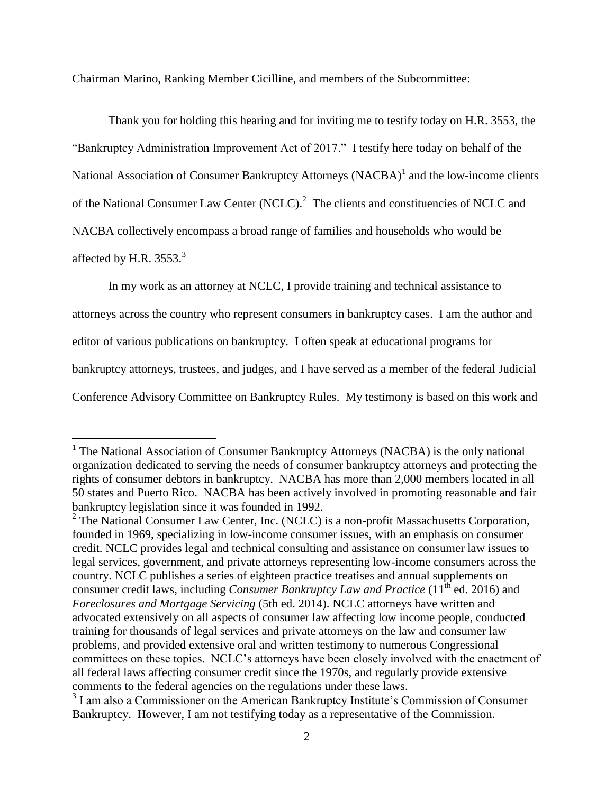Chairman Marino, Ranking Member Cicilline, and members of the Subcommittee:

Thank you for holding this hearing and for inviting me to testify today on H.R. 3553, the "Bankruptcy Administration Improvement Act of 2017." I testify here today on behalf of the National Association of Consumer Bankruptcy Attorneys (NACBA)<sup>1</sup> and the low-income clients of the National Consumer Law Center (NCLC).<sup>2</sup> The clients and constituencies of NCLC and NACBA collectively encompass a broad range of families and households who would be affected by H.R.  $3553.<sup>3</sup>$ 

In my work as an attorney at NCLC, I provide training and technical assistance to

attorneys across the country who represent consumers in bankruptcy cases. I am the author and

editor of various publications on bankruptcy. I often speak at educational programs for

 $\overline{a}$ 

bankruptcy attorneys, trustees, and judges, and I have served as a member of the federal Judicial

Conference Advisory Committee on Bankruptcy Rules. My testimony is based on this work and

<sup>&</sup>lt;sup>1</sup> The National Association of Consumer Bankruptcy Attorneys (NACBA) is the only national organization dedicated to serving the needs of consumer bankruptcy attorneys and protecting the rights of consumer debtors in bankruptcy. NACBA has more than 2,000 members located in all 50 states and Puerto Rico. NACBA has been actively involved in promoting reasonable and fair bankruptcy legislation since it was founded in 1992.

 $2$  The National Consumer Law Center, Inc. (NCLC) is a non-profit Massachusetts Corporation, founded in 1969, specializing in low-income consumer issues, with an emphasis on consumer credit. NCLC provides legal and technical consulting and assistance on consumer law issues to legal services, government, and private attorneys representing low-income consumers across the country. NCLC publishes a series of eighteen practice treatises and annual supplements on consumer credit laws, including *Consumer Bankruptcy Law and Practice* (11<sup>th</sup> ed. 2016) and *Foreclosures and Mortgage Servicing* (5th ed. 2014). NCLC attorneys have written and advocated extensively on all aspects of consumer law affecting low income people, conducted training for thousands of legal services and private attorneys on the law and consumer law problems, and provided extensive oral and written testimony to numerous Congressional committees on these topics. NCLC's attorneys have been closely involved with the enactment of all federal laws affecting consumer credit since the 1970s, and regularly provide extensive comments to the federal agencies on the regulations under these laws.

<sup>&</sup>lt;sup>3</sup> I am also a Commissioner on the American Bankruptcy Institute's Commission of Consumer Bankruptcy. However, I am not testifying today as a representative of the Commission.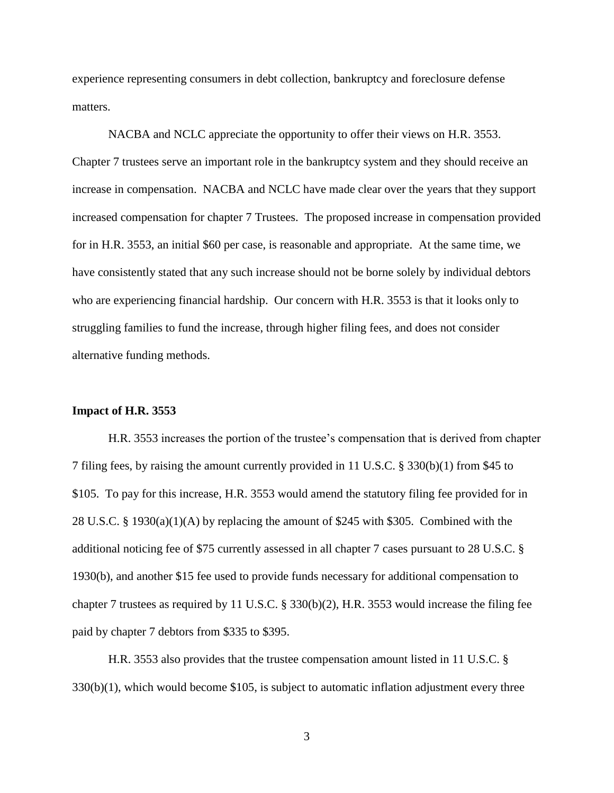experience representing consumers in debt collection, bankruptcy and foreclosure defense matters.

NACBA and NCLC appreciate the opportunity to offer their views on H.R. 3553. Chapter 7 trustees serve an important role in the bankruptcy system and they should receive an increase in compensation. NACBA and NCLC have made clear over the years that they support increased compensation for chapter 7 Trustees. The proposed increase in compensation provided for in H.R. 3553, an initial \$60 per case, is reasonable and appropriate. At the same time, we have consistently stated that any such increase should not be borne solely by individual debtors who are experiencing financial hardship. Our concern with H.R. 3553 is that it looks only to struggling families to fund the increase, through higher filing fees, and does not consider alternative funding methods.

## **Impact of H.R. 3553**

H.R. 3553 increases the portion of the trustee's compensation that is derived from chapter 7 filing fees, by raising the amount currently provided in 11 U.S.C. § 330(b)(1) from \$45 to \$105. To pay for this increase, H.R. 3553 would amend the statutory filing fee provided for in 28 U.S.C. § 1930(a)(1)(A) by replacing the amount of \$245 with \$305. Combined with the additional noticing fee of \$75 currently assessed in all chapter 7 cases pursuant to 28 U.S.C. § 1930(b), and another \$15 fee used to provide funds necessary for additional compensation to chapter 7 trustees as required by 11 U.S.C. § 330(b)(2), H.R. 3553 would increase the filing fee paid by chapter 7 debtors from \$335 to \$395.

H.R. 3553 also provides that the trustee compensation amount listed in 11 U.S.C. §  $330(b)(1)$ , which would become \$105, is subject to automatic inflation adjustment every three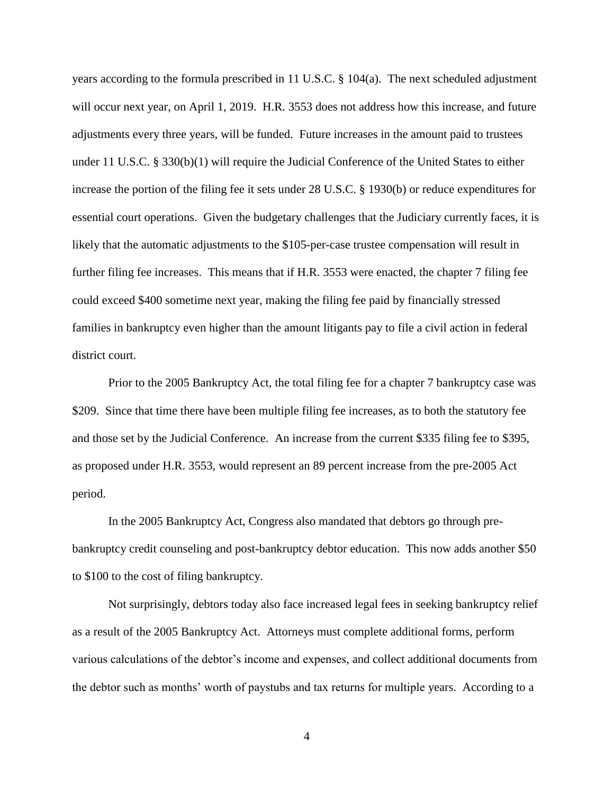years according to the formula prescribed in 11 U.S.C. § 104(a). The next scheduled adjustment will occur next year, on April 1, 2019. H.R. 3553 does not address how this increase, and future adjustments every three years, will be funded. Future increases in the amount paid to trustees under 11 U.S.C. § 330(b)(1) will require the Judicial Conference of the United States to either increase the portion of the filing fee it sets under 28 U.S.C. § 1930(b) or reduce expenditures for essential court operations. Given the budgetary challenges that the Judiciary currently faces, it is likely that the automatic adjustments to the \$105-per-case trustee compensation will result in further filing fee increases. This means that if H.R. 3553 were enacted, the chapter 7 filing fee could exceed \$400 sometime next year, making the filing fee paid by financially stressed families in bankruptcy even higher than the amount litigants pay to file a civil action in federal district court.

Prior to the 2005 Bankruptcy Act, the total filing fee for a chapter 7 bankruptcy case was \$209. Since that time there have been multiple filing fee increases, as to both the statutory fee and those set by the Judicial Conference. An increase from the current \$335 filing fee to \$395, as proposed under H.R. 3553, would represent an 89 percent increase from the pre-2005 Act period.

In the 2005 Bankruptcy Act, Congress also mandated that debtors go through prebankruptcy credit counseling and post-bankruptcy debtor education. This now adds another \$50 to \$100 to the cost of filing bankruptcy.

Not surprisingly, debtors today also face increased legal fees in seeking bankruptcy relief as a result of the 2005 Bankruptcy Act. Attorneys must complete additional forms, perform various calculations of the debtor's income and expenses, and collect additional documents from the debtor such as months' worth of paystubs and tax returns for multiple years. According to a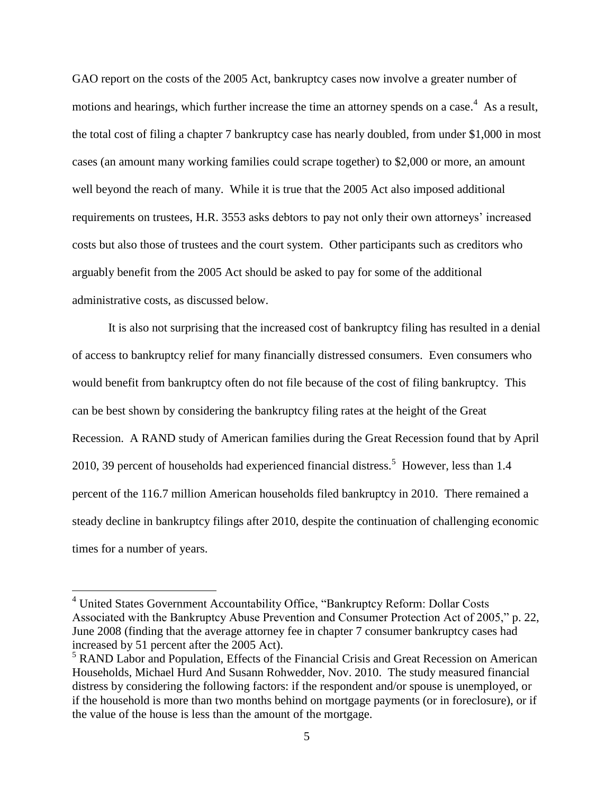GAO report on the costs of the 2005 Act, bankruptcy cases now involve a greater number of motions and hearings, which further increase the time an attorney spends on a case.<sup>4</sup> As a result, the total cost of filing a chapter 7 bankruptcy case has nearly doubled, from under \$1,000 in most cases (an amount many working families could scrape together) to \$2,000 or more, an amount well beyond the reach of many. While it is true that the 2005 Act also imposed additional requirements on trustees, H.R. 3553 asks debtors to pay not only their own attorneys' increased costs but also those of trustees and the court system. Other participants such as creditors who arguably benefit from the 2005 Act should be asked to pay for some of the additional administrative costs, as discussed below.

It is also not surprising that the increased cost of bankruptcy filing has resulted in a denial of access to bankruptcy relief for many financially distressed consumers. Even consumers who would benefit from bankruptcy often do not file because of the cost of filing bankruptcy. This can be best shown by considering the bankruptcy filing rates at the height of the Great Recession. A RAND study of American families during the Great Recession found that by April 2010, 39 percent of households had experienced financial distress.<sup>5</sup> However, less than 1.4 percent of the 116.7 million American households filed bankruptcy in 2010. There remained a steady decline in bankruptcy filings after 2010, despite the continuation of challenging economic times for a number of years.

 $\overline{a}$ 

<sup>&</sup>lt;sup>4</sup> United States Government Accountability Office, "Bankruptcy Reform: Dollar Costs Associated with the Bankruptcy Abuse Prevention and Consumer Protection Act of 2005," p. 22, June 2008 (finding that the average attorney fee in chapter 7 consumer bankruptcy cases had increased by 51 percent after the 2005 Act).

<sup>5</sup> RAND Labor and Population, Effects of the Financial Crisis and Great Recession on American Households, Michael Hurd And Susann Rohwedder, Nov. 2010. The study measured financial distress by considering the following factors: if the respondent and/or spouse is unemployed, or if the household is more than two months behind on mortgage payments (or in foreclosure), or if the value of the house is less than the amount of the mortgage.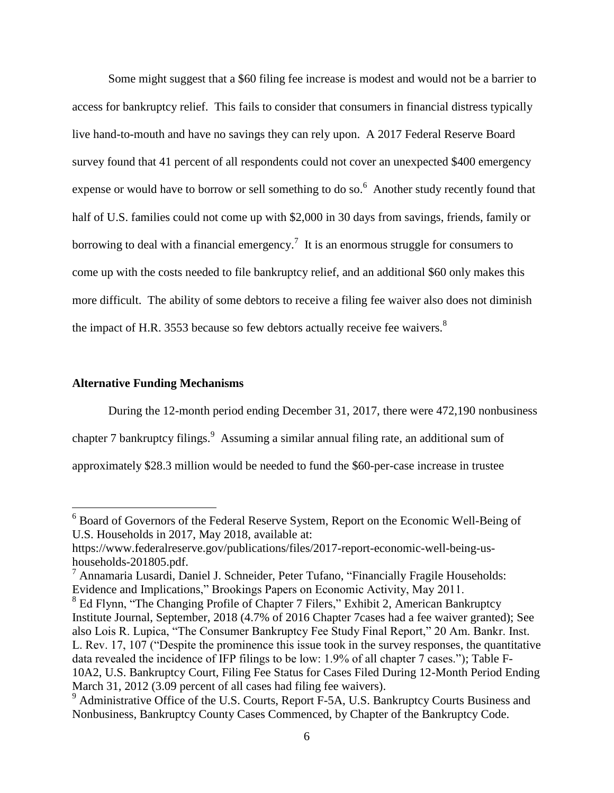Some might suggest that a \$60 filing fee increase is modest and would not be a barrier to access for bankruptcy relief. This fails to consider that consumers in financial distress typically live hand-to-mouth and have no savings they can rely upon. A 2017 Federal Reserve Board survey found that 41 percent of all respondents could not cover an unexpected \$400 emergency expense or would have to borrow or sell something to do so.<sup>6</sup> Another study recently found that half of U.S. families could not come up with \$2,000 in 30 days from savings, friends, family or borrowing to deal with a financial emergency.<sup>7</sup> It is an enormous struggle for consumers to come up with the costs needed to file bankruptcy relief, and an additional \$60 only makes this more difficult. The ability of some debtors to receive a filing fee waiver also does not diminish the impact of H.R. 3553 because so few debtors actually receive fee waivers.<sup>8</sup>

## **Alternative Funding Mechanisms**

 $\overline{a}$ 

During the 12-month period ending December 31, 2017, there were 472,190 nonbusiness chapter 7 bankruptcy filings.<sup>9</sup> Assuming a similar annual filing rate, an additional sum of approximately \$28.3 million would be needed to fund the \$60-per-case increase in trustee

 $6$  Board of Governors of the Federal Reserve System, Report on the Economic Well-Being of U.S. Households in 2017, May 2018, available at:

https://www.federalreserve.gov/publications/files/2017-report-economic-well-being-ushouseholds-201805.pdf.

<sup>7</sup> Annamaria Lusardi, Daniel J. Schneider, Peter Tufano, "Financially Fragile Households: Evidence and Implications," Brookings Papers on Economic Activity, May 2011.

<sup>&</sup>lt;sup>8</sup> Ed Flynn, "The Changing Profile of Chapter 7 Filers," Exhibit 2, American Bankruptcy Institute Journal, September, 2018 (4.7% of 2016 Chapter 7cases had a fee waiver granted); See also Lois R. Lupica, "The Consumer Bankruptcy Fee Study Final Report," 20 Am. Bankr. Inst. L. Rev. 17, 107 ("Despite the prominence this issue took in the survey responses, the quantitative data revealed the incidence of IFP filings to be low: 1.9% of all chapter 7 cases."); Table F-10A2, U.S. Bankruptcy Court, Filing Fee Status for Cases Filed During 12-Month Period Ending March 31, 2012 (3.09 percent of all cases had filing fee waivers).

<sup>&</sup>lt;sup>9</sup> Administrative Office of the U.S. Courts, Report F-5A, U.S. Bankruptcy Courts Business and Nonbusiness, Bankruptcy County Cases Commenced, by Chapter of the Bankruptcy Code.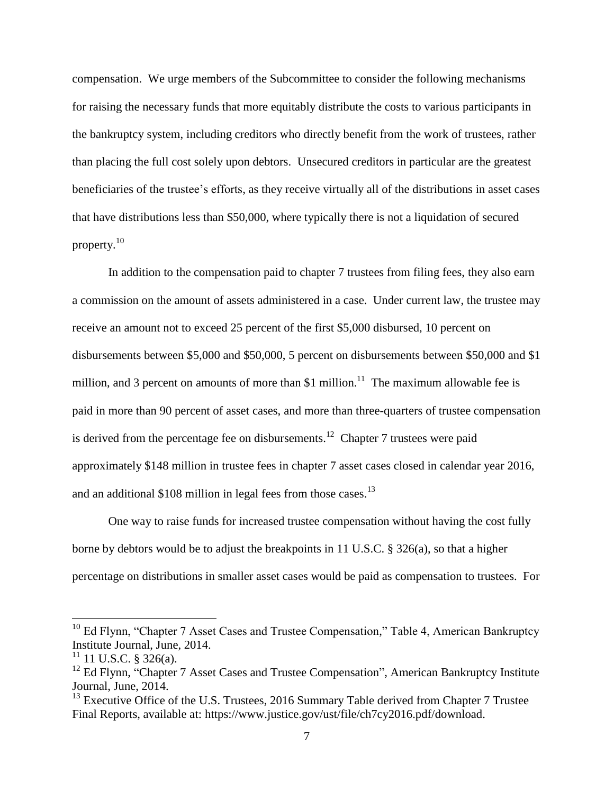compensation. We urge members of the Subcommittee to consider the following mechanisms for raising the necessary funds that more equitably distribute the costs to various participants in the bankruptcy system, including creditors who directly benefit from the work of trustees, rather than placing the full cost solely upon debtors. Unsecured creditors in particular are the greatest beneficiaries of the trustee's efforts, as they receive virtually all of the distributions in asset cases that have distributions less than \$50,000, where typically there is not a liquidation of secured property. 10

In addition to the compensation paid to chapter 7 trustees from filing fees, they also earn a commission on the amount of assets administered in a case. Under current law, the trustee may receive an amount not to exceed 25 percent of the first \$5,000 disbursed, 10 percent on disbursements between \$5,000 and \$50,000, 5 percent on disbursements between \$50,000 and \$1 million, and 3 percent on amounts of more than \$1 million.<sup>11</sup> The maximum allowable fee is paid in more than 90 percent of asset cases, and more than three-quarters of trustee compensation is derived from the percentage fee on disbursements.<sup>12</sup> Chapter 7 trustees were paid approximately \$148 million in trustee fees in chapter 7 asset cases closed in calendar year 2016, and an additional \$108 million in legal fees from those cases.<sup>13</sup>

One way to raise funds for increased trustee compensation without having the cost fully borne by debtors would be to adjust the breakpoints in 11 U.S.C. § 326(a), so that a higher percentage on distributions in smaller asset cases would be paid as compensation to trustees. For

 $\overline{a}$ 

<sup>&</sup>lt;sup>10</sup> Ed Flynn, "Chapter 7 Asset Cases and Trustee Compensation," Table 4, American Bankruptcy Institute Journal, June, 2014.

 $11$  11 U.S.C. § 326(a).

<sup>&</sup>lt;sup>12</sup> Ed Flynn, "Chapter 7 Asset Cases and Trustee Compensation", American Bankruptcy Institute Journal, June, 2014.

<sup>&</sup>lt;sup>13</sup> Executive Office of the U.S. Trustees, 2016 Summary Table derived from Chapter 7 Trustee Final Reports, available at: https://www.justice.gov/ust/file/ch7cy2016.pdf/download.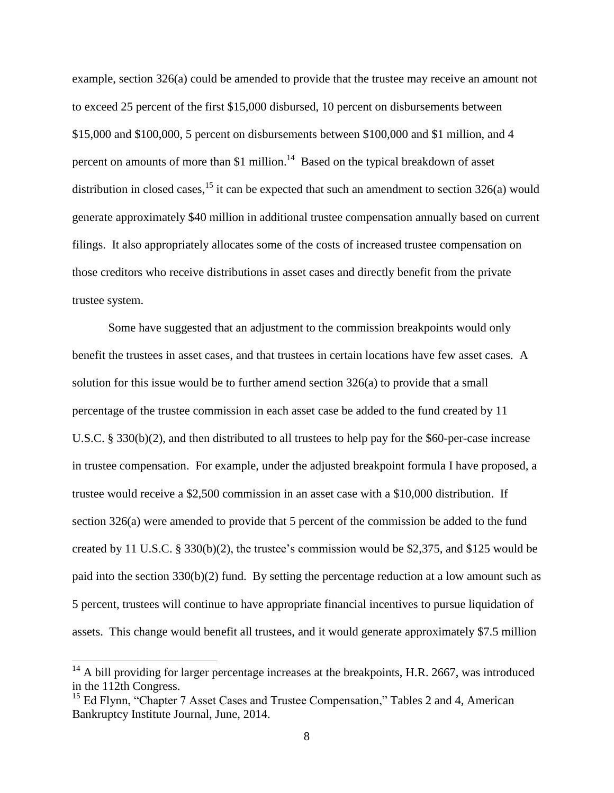example, section 326(a) could be amended to provide that the trustee may receive an amount not to exceed 25 percent of the first \$15,000 disbursed, 10 percent on disbursements between \$15,000 and \$100,000, 5 percent on disbursements between \$100,000 and \$1 million, and 4 percent on amounts of more than \$1 million.<sup>14</sup> Based on the typical breakdown of asset distribution in closed cases,  $^{15}$  it can be expected that such an amendment to section 326(a) would generate approximately \$40 million in additional trustee compensation annually based on current filings. It also appropriately allocates some of the costs of increased trustee compensation on those creditors who receive distributions in asset cases and directly benefit from the private trustee system.

Some have suggested that an adjustment to the commission breakpoints would only benefit the trustees in asset cases, and that trustees in certain locations have few asset cases. A solution for this issue would be to further amend section  $326(a)$  to provide that a small percentage of the trustee commission in each asset case be added to the fund created by 11 U.S.C. § 330(b)(2), and then distributed to all trustees to help pay for the \$60-per-case increase in trustee compensation. For example, under the adjusted breakpoint formula I have proposed, a trustee would receive a \$2,500 commission in an asset case with a \$10,000 distribution. If section 326(a) were amended to provide that 5 percent of the commission be added to the fund created by 11 U.S.C. § 330(b)(2), the trustee's commission would be \$2,375, and \$125 would be paid into the section 330(b)(2) fund. By setting the percentage reduction at a low amount such as 5 percent, trustees will continue to have appropriate financial incentives to pursue liquidation of assets. This change would benefit all trustees, and it would generate approximately \$7.5 million

 $\overline{a}$ 

 $14$  A bill providing for larger percentage increases at the breakpoints, H.R. 2667, was introduced in the 112th Congress.

<sup>&</sup>lt;sup>15</sup> Ed Flynn, "Chapter 7 Asset Cases and Trustee Compensation," Tables 2 and 4, American Bankruptcy Institute Journal, June, 2014.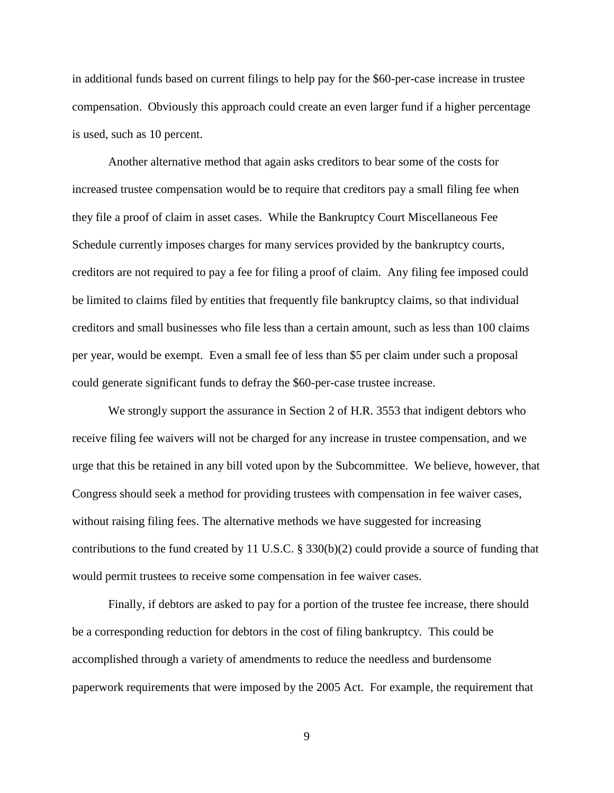in additional funds based on current filings to help pay for the \$60-per-case increase in trustee compensation. Obviously this approach could create an even larger fund if a higher percentage is used, such as 10 percent.

Another alternative method that again asks creditors to bear some of the costs for increased trustee compensation would be to require that creditors pay a small filing fee when they file a proof of claim in asset cases. While the Bankruptcy Court Miscellaneous Fee Schedule currently imposes charges for many services provided by the bankruptcy courts, creditors are not required to pay a fee for filing a proof of claim. Any filing fee imposed could be limited to claims filed by entities that frequently file bankruptcy claims, so that individual creditors and small businesses who file less than a certain amount, such as less than 100 claims per year, would be exempt. Even a small fee of less than \$5 per claim under such a proposal could generate significant funds to defray the \$60-per-case trustee increase.

We strongly support the assurance in Section 2 of H.R. 3553 that indigent debtors who receive filing fee waivers will not be charged for any increase in trustee compensation, and we urge that this be retained in any bill voted upon by the Subcommittee. We believe, however, that Congress should seek a method for providing trustees with compensation in fee waiver cases, without raising filing fees. The alternative methods we have suggested for increasing contributions to the fund created by 11 U.S.C. § 330(b)(2) could provide a source of funding that would permit trustees to receive some compensation in fee waiver cases.

Finally, if debtors are asked to pay for a portion of the trustee fee increase, there should be a corresponding reduction for debtors in the cost of filing bankruptcy. This could be accomplished through a variety of amendments to reduce the needless and burdensome paperwork requirements that were imposed by the 2005 Act. For example, the requirement that